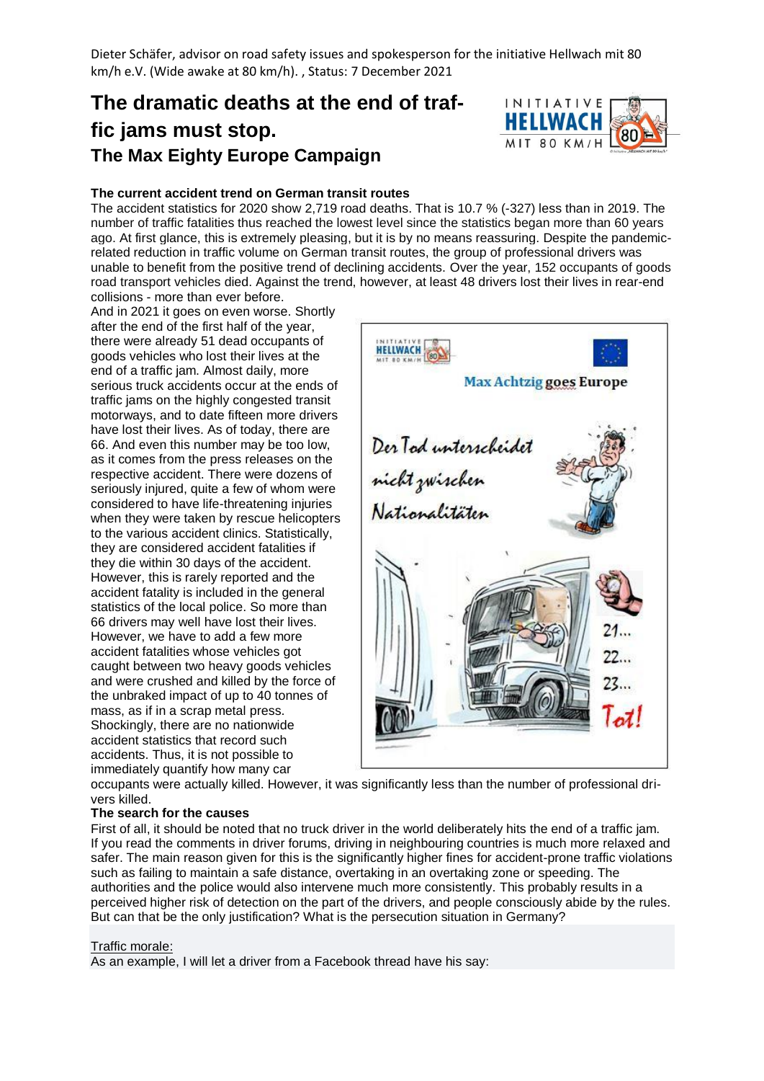Dieter Schäfer, advisor on road safety issues and spokesperson for the initiative Hellwach mit 80 km/h e.V. (Wide awake at 80 km/h). , Status: 7 December 2021

# **The dramatic deaths at the end of traffic jams must stop. The Max Eighty Europe Campaign**



## **The current accident trend on German transit routes**

The accident statistics for 2020 show 2,719 road deaths. That is 10.7 % (-327) less than in 2019. The number of traffic fatalities thus reached the lowest level since the statistics began more than 60 years ago. At first glance, this is extremely pleasing, but it is by no means reassuring. Despite the pandemicrelated reduction in traffic volume on German transit routes, the group of professional drivers was unable to benefit from the positive trend of declining accidents. Over the year, 152 occupants of goods road transport vehicles died. Against the trend, however, at least 48 drivers lost their lives in rear-end collisions - more than ever before.

And in 2021 it goes on even worse. Shortly after the end of the first half of the year, there were already 51 dead occupants of goods vehicles who lost their lives at the end of a traffic jam. Almost daily, more serious truck accidents occur at the ends of traffic jams on the highly congested transit motorways, and to date fifteen more drivers have lost their lives. As of today, there are 66. And even this number may be too low, as it comes from the press releases on the respective accident. There were dozens of seriously injured, quite a few of whom were considered to have life-threatening injuries when they were taken by rescue helicopters to the various accident clinics. Statistically, they are considered accident fatalities if they die within 30 days of the accident. However, this is rarely reported and the accident fatality is included in the general statistics of the local police. So more than 66 drivers may well have lost their lives. However, we have to add a few more accident fatalities whose vehicles got caught between two heavy goods vehicles and were crushed and killed by the force of the unbraked impact of up to 40 tonnes of mass, as if in a scrap metal press. Shockingly, there are no nationwide accident statistics that record such accidents. Thus, it is not possible to immediately quantify how many car



occupants were actually killed. However, it was significantly less than the number of professional drivers killed.

#### **The search for the causes**

First of all, it should be noted that no truck driver in the world deliberately hits the end of a traffic jam. If you read the comments in driver forums, driving in neighbouring countries is much more relaxed and safer. The main reason given for this is the significantly higher fines for accident-prone traffic violations such as failing to maintain a safe distance, overtaking in an overtaking zone or speeding. The authorities and the police would also intervene much more consistently. This probably results in a perceived higher risk of detection on the part of the drivers, and people consciously abide by the rules. But can that be the only justification? What is the persecution situation in Germany?

#### Traffic morale:

As an example, I will let a driver from a Facebook thread have his say: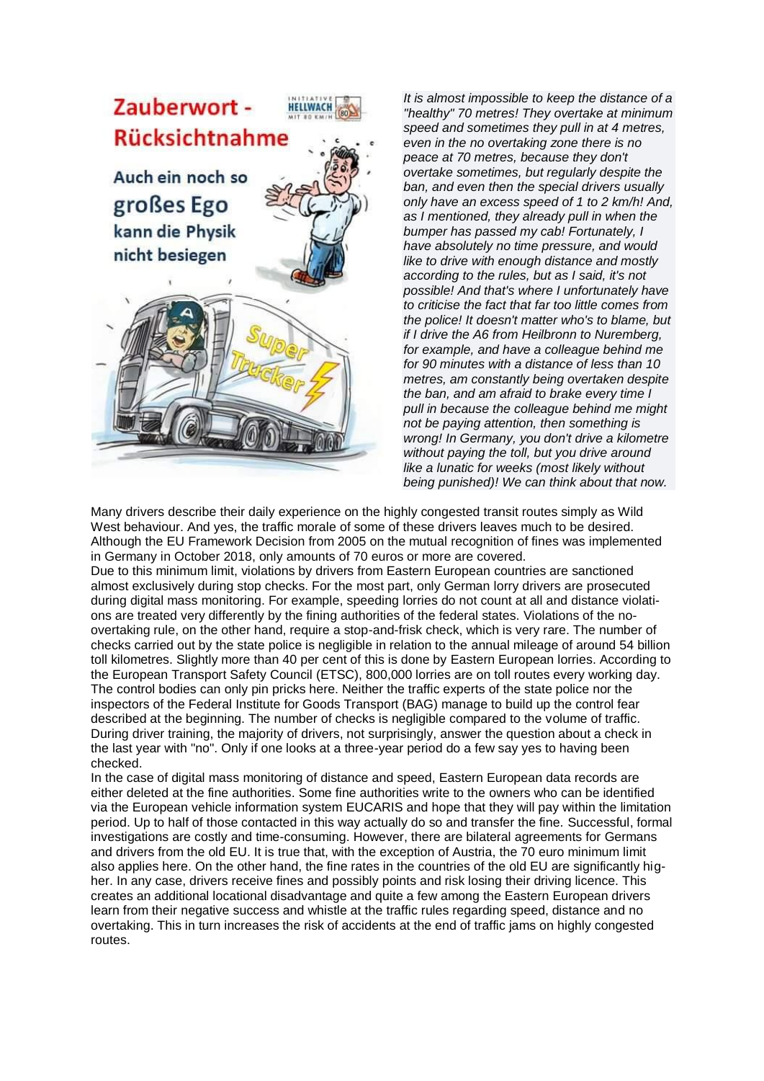

*It is almost impossible to keep the distance of a "healthy" 70 metres! They overtake at minimum speed and sometimes they pull in at 4 metres, even in the no overtaking zone there is no peace at 70 metres, because they don't overtake sometimes, but regularly despite the ban, and even then the special drivers usually only have an excess speed of 1 to 2 km/h! And, as I mentioned, they already pull in when the bumper has passed my cab! Fortunately, I have absolutely no time pressure, and would like to drive with enough distance and mostly according to the rules, but as I said, it's not possible! And that's where I unfortunately have to criticise the fact that far too little comes from the police! It doesn't matter who's to blame, but if I drive the A6 from Heilbronn to Nuremberg, for example, and have a colleague behind me for 90 minutes with a distance of less than 10 metres, am constantly being overtaken despite the ban, and am afraid to brake every time I pull in because the colleague behind me might not be paying attention, then something is wrong! In Germany, you don't drive a kilometre without paying the toll, but you drive around like a lunatic for weeks (most likely without being punished)! We can think about that now.*

Many drivers describe their daily experience on the highly congested transit routes simply as Wild West behaviour. And yes, the traffic morale of some of these drivers leaves much to be desired. Although the EU Framework Decision from 2005 on the mutual recognition of fines was implemented in Germany in October 2018, only amounts of 70 euros or more are covered.

Due to this minimum limit, violations by drivers from Eastern European countries are sanctioned almost exclusively during stop checks. For the most part, only German lorry drivers are prosecuted during digital mass monitoring. For example, speeding lorries do not count at all and distance violations are treated very differently by the fining authorities of the federal states. Violations of the noovertaking rule, on the other hand, require a stop-and-frisk check, which is very rare. The number of checks carried out by the state police is negligible in relation to the annual mileage of around 54 billion toll kilometres. Slightly more than 40 per cent of this is done by Eastern European lorries. According to the European Transport Safety Council (ETSC), 800,000 lorries are on toll routes every working day. The control bodies can only pin pricks here. Neither the traffic experts of the state police nor the inspectors of the Federal Institute for Goods Transport (BAG) manage to build up the control fear described at the beginning. The number of checks is negligible compared to the volume of traffic. During driver training, the majority of drivers, not surprisingly, answer the question about a check in the last year with "no". Only if one looks at a three-year period do a few say yes to having been checked.

In the case of digital mass monitoring of distance and speed, Eastern European data records are either deleted at the fine authorities. Some fine authorities write to the owners who can be identified via the European vehicle information system EUCARIS and hope that they will pay within the limitation period. Up to half of those contacted in this way actually do so and transfer the fine. Successful, formal investigations are costly and time-consuming. However, there are bilateral agreements for Germans and drivers from the old EU. It is true that, with the exception of Austria, the 70 euro minimum limit also applies here. On the other hand, the fine rates in the countries of the old EU are significantly higher. In any case, drivers receive fines and possibly points and risk losing their driving licence. This creates an additional locational disadvantage and quite a few among the Eastern European drivers learn from their negative success and whistle at the traffic rules regarding speed, distance and no overtaking. This in turn increases the risk of accidents at the end of traffic jams on highly congested routes.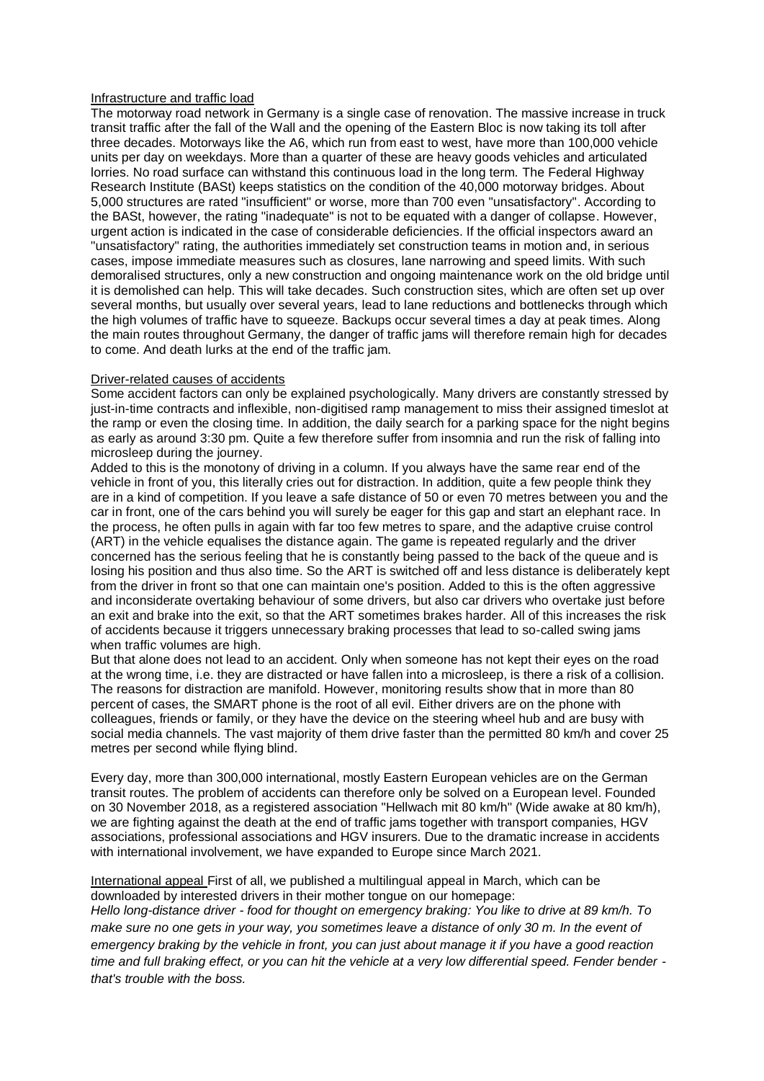### Infrastructure and traffic load

The motorway road network in Germany is a single case of renovation. The massive increase in truck transit traffic after the fall of the Wall and the opening of the Eastern Bloc is now taking its toll after three decades. Motorways like the A6, which run from east to west, have more than 100,000 vehicle units per day on weekdays. More than a quarter of these are heavy goods vehicles and articulated lorries. No road surface can withstand this continuous load in the long term. The Federal Highway Research Institute (BASt) keeps statistics on the condition of the 40,000 motorway bridges. About 5,000 structures are rated "insufficient" or worse, more than 700 even "unsatisfactory". According to the BASt, however, the rating "inadequate" is not to be equated with a danger of collapse. However, urgent action is indicated in the case of considerable deficiencies. If the official inspectors award an "unsatisfactory" rating, the authorities immediately set construction teams in motion and, in serious cases, impose immediate measures such as closures, lane narrowing and speed limits. With such demoralised structures, only a new construction and ongoing maintenance work on the old bridge until it is demolished can help. This will take decades. Such construction sites, which are often set up over several months, but usually over several years, lead to lane reductions and bottlenecks through which the high volumes of traffic have to squeeze. Backups occur several times a day at peak times. Along the main routes throughout Germany, the danger of traffic jams will therefore remain high for decades to come. And death lurks at the end of the traffic jam.

## Driver-related causes of accidents

Some accident factors can only be explained psychologically. Many drivers are constantly stressed by just-in-time contracts and inflexible, non-digitised ramp management to miss their assigned timeslot at the ramp or even the closing time. In addition, the daily search for a parking space for the night begins as early as around 3:30 pm. Quite a few therefore suffer from insomnia and run the risk of falling into microsleep during the journey.

Added to this is the monotony of driving in a column. If you always have the same rear end of the vehicle in front of you, this literally cries out for distraction. In addition, quite a few people think they are in a kind of competition. If you leave a safe distance of 50 or even 70 metres between you and the car in front, one of the cars behind you will surely be eager for this gap and start an elephant race. In the process, he often pulls in again with far too few metres to spare, and the adaptive cruise control (ART) in the vehicle equalises the distance again. The game is repeated regularly and the driver concerned has the serious feeling that he is constantly being passed to the back of the queue and is losing his position and thus also time. So the ART is switched off and less distance is deliberately kept from the driver in front so that one can maintain one's position. Added to this is the often aggressive and inconsiderate overtaking behaviour of some drivers, but also car drivers who overtake just before an exit and brake into the exit, so that the ART sometimes brakes harder. All of this increases the risk of accidents because it triggers unnecessary braking processes that lead to so-called swing jams when traffic volumes are high.

But that alone does not lead to an accident. Only when someone has not kept their eyes on the road at the wrong time, i.e. they are distracted or have fallen into a microsleep, is there a risk of a collision. The reasons for distraction are manifold. However, monitoring results show that in more than 80 percent of cases, the SMART phone is the root of all evil. Either drivers are on the phone with colleagues, friends or family, or they have the device on the steering wheel hub and are busy with social media channels. The vast majority of them drive faster than the permitted 80 km/h and cover 25 metres per second while flying blind.

Every day, more than 300,000 international, mostly Eastern European vehicles are on the German transit routes. The problem of accidents can therefore only be solved on a European level. Founded on 30 November 2018, as a registered association "Hellwach mit 80 km/h" (Wide awake at 80 km/h), we are fighting against the death at the end of traffic jams together with transport companies, HGV associations, professional associations and HGV insurers. Due to the dramatic increase in accidents with international involvement, we have expanded to Europe since March 2021.

International appeal First of all, we published a multilingual appeal in March, which can be downloaded by interested drivers in their mother tongue on our homepage:

*Hello long-distance driver - food for thought on emergency braking: You like to drive at 89 km/h. To make sure no one gets in your way, you sometimes leave a distance of only 30 m. In the event of emergency braking by the vehicle in front, you can just about manage it if you have a good reaction time and full braking effect, or you can hit the vehicle at a very low differential speed. Fender bender that's trouble with the boss.*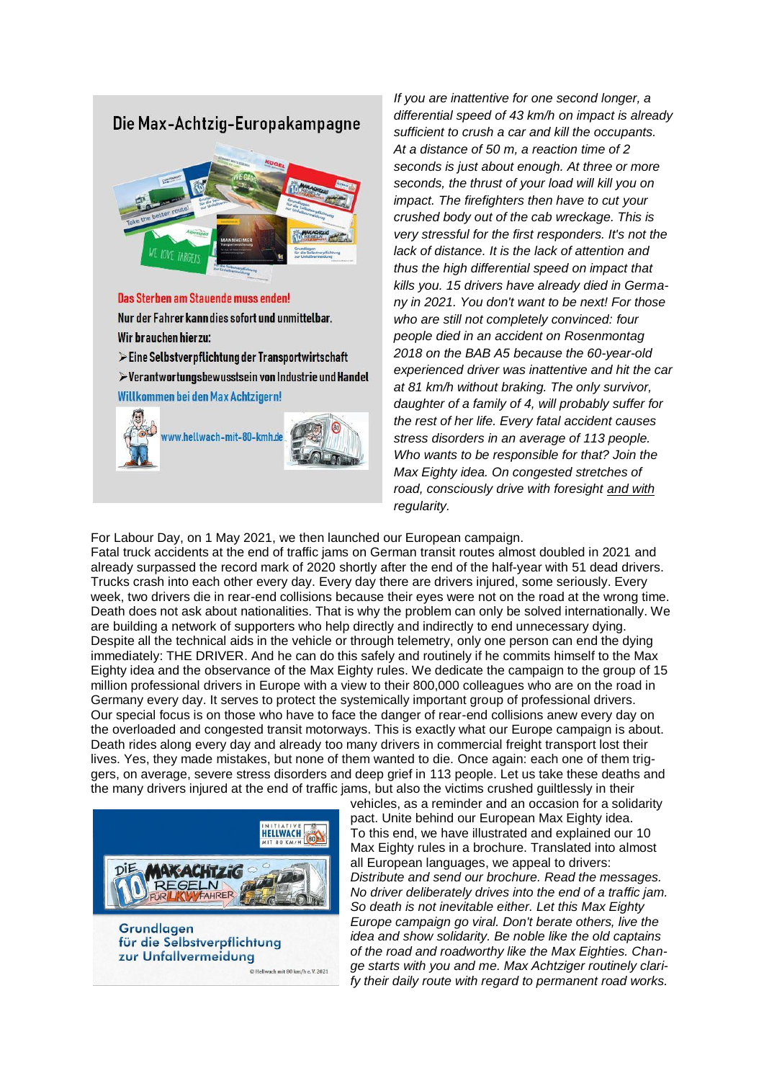

*If you are inattentive for one second longer, a differential speed of 43 km/h on impact is already sufficient to crush a car and kill the occupants. At a distance of 50 m, a reaction time of 2 seconds is just about enough. At three or more seconds, the thrust of your load will kill you on impact. The firefighters then have to cut your crushed body out of the cab wreckage. This is very stressful for the first responders. It's not the lack of distance. It is the lack of attention and thus the high differential speed on impact that kills you. 15 drivers have already died in Germany in 2021. You don't want to be next! For those who are still not completely convinced: four people died in an accident on Rosenmontag 2018 on the BAB A5 because the 60-year-old experienced driver was inattentive and hit the car at 81 km/h without braking. The only survivor, daughter of a family of 4, will probably suffer for the rest of her life. Every fatal accident causes stress disorders in an average of 113 people. Who wants to be responsible for that? Join the Max Eighty idea. On congested stretches of road, consciously drive with foresight and with regularity.*

#### For Labour Day, on 1 May 2021, we then launched our European campaign.

Fatal truck accidents at the end of traffic jams on German transit routes almost doubled in 2021 and already surpassed the record mark of 2020 shortly after the end of the half-year with 51 dead drivers. Trucks crash into each other every day. Every day there are drivers injured, some seriously. Every week, two drivers die in rear-end collisions because their eyes were not on the road at the wrong time. Death does not ask about nationalities. That is why the problem can only be solved internationally. We are building a network of supporters who help directly and indirectly to end unnecessary dying. Despite all the technical aids in the vehicle or through telemetry, only one person can end the dying immediately: THE DRIVER. And he can do this safely and routinely if he commits himself to the Max Eighty idea and the observance of the Max Eighty rules. We dedicate the campaign to the group of 15 million professional drivers in Europe with a view to their 800,000 colleagues who are on the road in Germany every day. It serves to protect the systemically important group of professional drivers. Our special focus is on those who have to face the danger of rear-end collisions anew every day on the overloaded and congested transit motorways. This is exactly what our Europe campaign is about. Death rides along every day and already too many drivers in commercial freight transport lost their lives. Yes, they made mistakes, but none of them wanted to die. Once again: each one of them triggers, on average, severe stress disorders and deep grief in 113 people. Let us take these deaths and the many drivers injured at the end of traffic jams, but also the victims crushed guiltlessly in their



vehicles, as a reminder and an occasion for a solidarity pact. Unite behind our European Max Eighty idea. To this end, we have illustrated and explained our 10 Max Eighty rules in a brochure. Translated into almost all European languages, we appeal to drivers: *Distribute and send our brochure. Read the messages. No driver deliberately drives into the end of a traffic jam. So death is not inevitable either. Let this Max Eighty Europe campaign go viral. Don't berate others, live the idea and show solidarity. Be noble like the old captains of the road and roadworthy like the Max Eighties. Change starts with you and me. Max Achtziger routinely clarify their daily route with regard to permanent road works.*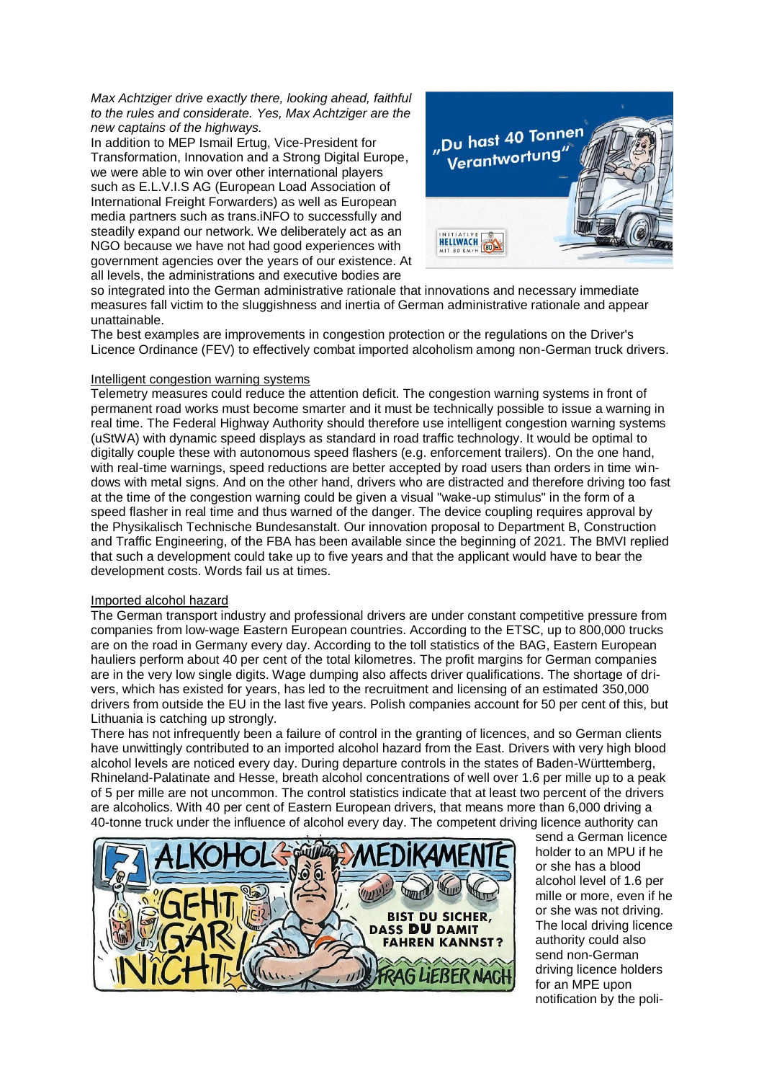*Max Achtziger drive exactly there, looking ahead, faithful to the rules and considerate. Yes, Max Achtziger are the new captains of the highways.* 

In addition to MEP Ismail Ertug, Vice-President for Transformation, Innovation and a Strong Digital Europe, we were able to win over other international players such as E.L.V.I.S AG (European Load Association of International Freight Forwarders) as well as European media partners such as trans.iNFO to successfully and steadily expand our network. We deliberately act as an NGO because we have not had good experiences with government agencies over the years of our existence. At all levels, the administrations and executive bodies are



so integrated into the German administrative rationale that innovations and necessary immediate measures fall victim to the sluggishness and inertia of German administrative rationale and appear unattainable.

The best examples are improvements in congestion protection or the regulations on the Driver's Licence Ordinance (FEV) to effectively combat imported alcoholism among non-German truck drivers.

## Intelligent congestion warning systems

Telemetry measures could reduce the attention deficit. The congestion warning systems in front of permanent road works must become smarter and it must be technically possible to issue a warning in real time. The Federal Highway Authority should therefore use intelligent congestion warning systems (uStWA) with dynamic speed displays as standard in road traffic technology. It would be optimal to digitally couple these with autonomous speed flashers (e.g. enforcement trailers). On the one hand, with real-time warnings, speed reductions are better accepted by road users than orders in time windows with metal signs. And on the other hand, drivers who are distracted and therefore driving too fast at the time of the congestion warning could be given a visual "wake-up stimulus" in the form of a speed flasher in real time and thus warned of the danger. The device coupling requires approval by the Physikalisch Technische Bundesanstalt. Our innovation proposal to Department B, Construction and Traffic Engineering, of the FBA has been available since the beginning of 2021. The BMVI replied that such a development could take up to five years and that the applicant would have to bear the development costs. Words fail us at times.

#### Imported alcohol hazard

The German transport industry and professional drivers are under constant competitive pressure from companies from low-wage Eastern European countries. According to the ETSC, up to 800,000 trucks are on the road in Germany every day. According to the toll statistics of the BAG, Eastern European hauliers perform about 40 per cent of the total kilometres. The profit margins for German companies are in the very low single digits. Wage dumping also affects driver qualifications. The shortage of drivers, which has existed for years, has led to the recruitment and licensing of an estimated 350,000 drivers from outside the EU in the last five years. Polish companies account for 50 per cent of this, but Lithuania is catching up strongly.

There has not infrequently been a failure of control in the granting of licences, and so German clients have unwittingly contributed to an imported alcohol hazard from the East. Drivers with very high blood alcohol levels are noticed every day. During departure controls in the states of Baden-Württemberg, Rhineland-Palatinate and Hesse, breath alcohol concentrations of well over 1.6 per mille up to a peak of 5 per mille are not uncommon. The control statistics indicate that at least two percent of the drivers are alcoholics. With 40 per cent of Eastern European drivers, that means more than 6,000 driving a 40-tonne truck under the influence of alcohol every day. The competent driving licence authority can



send a German licence holder to an MPU if he or she has a blood alcohol level of 1.6 per mille or more, even if he or she was not driving. The local driving licence authority could also send non-German driving licence holders for an MPE upon notification by the poli